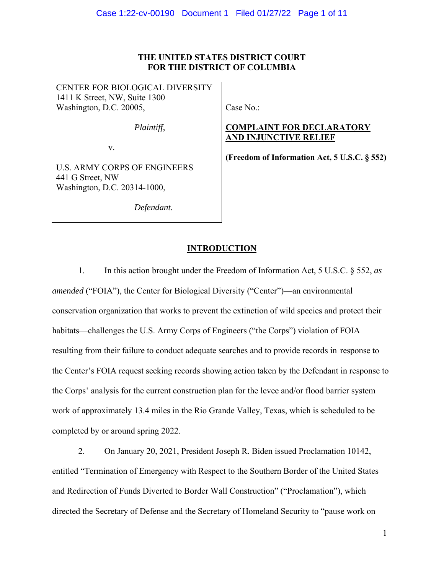# **THE UNITED STATES DISTRICT COURT FOR THE DISTRICT OF COLUMBIA**

CENTER FOR BIOLOGICAL DIVERSITY 1411 K Street, NW, Suite 1300 Washington, D.C. 20005,

*Plaintiff*,

v.

U.S. ARMY CORPS OF ENGINEERS 441 G Street, NW Washington, D.C. 20314-1000,

*Defendant*.

Case No.:

# **COMPLAINT FOR DECLARATORY AND INJUNCTIVE RELIEF**

**(Freedom of Information Act, 5 U.S.C. § 552)** 

# **INTRODUCTION**

1. In this action brought under the Freedom of Information Act, 5 U.S.C. § 552, *as amended* ("FOIA"), the Center for Biological Diversity ("Center")—an environmental conservation organization that works to prevent the extinction of wild species and protect their habitats—challenges the U.S. Army Corps of Engineers ("the Corps") violation of FOIA resulting from their failure to conduct adequate searches and to provide records in response to the Center's FOIA request seeking records showing action taken by the Defendant in response to the Corps' analysis for the current construction plan for the levee and/or flood barrier system work of approximately 13.4 miles in the Rio Grande Valley, Texas, which is scheduled to be completed by or around spring 2022.

2. On January 20, 2021, President Joseph R. Biden issued Proclamation 10142, entitled "Termination of Emergency with Respect to the Southern Border of the United States and Redirection of Funds Diverted to Border Wall Construction" ("Proclamation"), which directed the Secretary of Defense and the Secretary of Homeland Security to "pause work on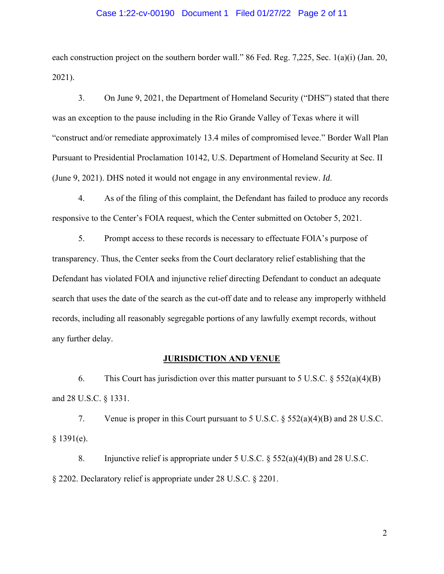## Case 1:22-cv-00190 Document 1 Filed 01/27/22 Page 2 of 11

each construction project on the southern border wall." 86 Fed. Reg. 7,225, Sec. 1(a)(i) (Jan. 20, 2021).

3. On June 9, 2021, the Department of Homeland Security ("DHS") stated that there was an exception to the pause including in the Rio Grande Valley of Texas where it will "construct and/or remediate approximately 13.4 miles of compromised levee." Border Wall Plan Pursuant to Presidential Proclamation 10142, U.S. Department of Homeland Security at Sec. II (June 9, 2021). DHS noted it would not engage in any environmental review. *Id*.

4. As of the filing of this complaint, the Defendant has failed to produce any records responsive to the Center's FOIA request, which the Center submitted on October 5, 2021.

5. Prompt access to these records is necessary to effectuate FOIA's purpose of transparency. Thus, the Center seeks from the Court declaratory relief establishing that the Defendant has violated FOIA and injunctive relief directing Defendant to conduct an adequate search that uses the date of the search as the cut-off date and to release any improperly withheld records, including all reasonably segregable portions of any lawfully exempt records, without any further delay.

# **JURISDICTION AND VENUE**

6. This Court has jurisdiction over this matter pursuant to 5 U.S.C.  $\S$  552(a)(4)(B) and 28 U.S.C. § 1331.

7. Venue is proper in this Court pursuant to 5 U.S.C. § 552(a)(4)(B) and 28 U.S.C.  $§$  1391(e).

8. Injunctive relief is appropriate under 5 U.S.C. § 552(a)(4)(B) and 28 U.S.C. § 2202. Declaratory relief is appropriate under 28 U.S.C. § 2201.

2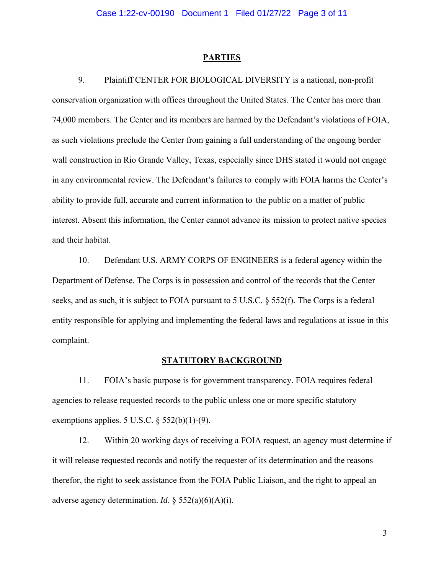#### **PARTIES**

9. Plaintiff CENTER FOR BIOLOGICAL DIVERSITY is a national, non-profit conservation organization with offices throughout the United States. The Center has more than 74,000 members. The Center and its members are harmed by the Defendant's violations of FOIA, as such violations preclude the Center from gaining a full understanding of the ongoing border wall construction in Rio Grande Valley, Texas, especially since DHS stated it would not engage in any environmental review. The Defendant's failures to comply with FOIA harms the Center's ability to provide full, accurate and current information to the public on a matter of public interest. Absent this information, the Center cannot advance its mission to protect native species and their habitat.

10. Defendant U.S. ARMY CORPS OF ENGINEERS is a federal agency within the Department of Defense. The Corps is in possession and control of the records that the Center seeks, and as such, it is subject to FOIA pursuant to 5 U.S.C. § 552(f). The Corps is a federal entity responsible for applying and implementing the federal laws and regulations at issue in this complaint.

### **STATUTORY BACKGROUND**

11. FOIA's basic purpose is for government transparency. FOIA requires federal agencies to release requested records to the public unless one or more specific statutory exemptions applies. 5 U.S.C.  $\S$  552(b)(1)-(9).

12. Within 20 working days of receiving a FOIA request, an agency must determine if it will release requested records and notify the requester of its determination and the reasons therefor, the right to seek assistance from the FOIA Public Liaison, and the right to appeal an adverse agency determination. *Id*. § 552(a)(6)(A)(i).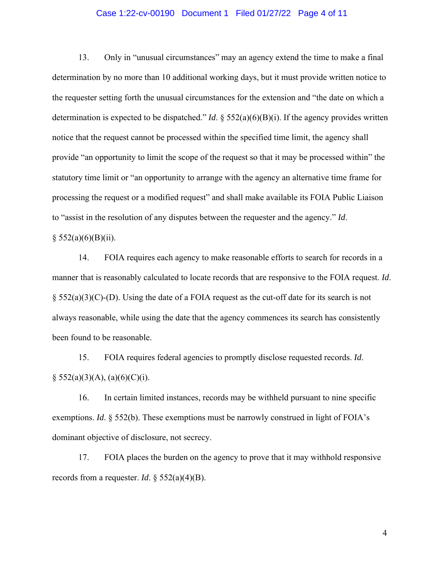## Case 1:22-cv-00190 Document 1 Filed 01/27/22 Page 4 of 11

13. Only in "unusual circumstances" may an agency extend the time to make a final determination by no more than 10 additional working days, but it must provide written notice to the requester setting forth the unusual circumstances for the extension and "the date on which a determination is expected to be dispatched." *Id*. § 552(a)(6)(B)(i). If the agency provides written notice that the request cannot be processed within the specified time limit, the agency shall provide "an opportunity to limit the scope of the request so that it may be processed within" the statutory time limit or "an opportunity to arrange with the agency an alternative time frame for processing the request or a modified request" and shall make available its FOIA Public Liaison to "assist in the resolution of any disputes between the requester and the agency." *Id*.

#### $§ 552(a)(6)(B)(ii).$

14. FOIA requires each agency to make reasonable efforts to search for records in a manner that is reasonably calculated to locate records that are responsive to the FOIA request. *Id*. § 552(a)(3)(C)-(D). Using the date of a FOIA request as the cut-off date for its search is not always reasonable, while using the date that the agency commences its search has consistently been found to be reasonable.

15. FOIA requires federal agencies to promptly disclose requested records. *Id*.  $\S$  552(a)(3)(A), (a)(6)(C)(i).

16. In certain limited instances, records may be withheld pursuant to nine specific exemptions. *Id*. § 552(b). These exemptions must be narrowly construed in light of FOIA's dominant objective of disclosure, not secrecy.

17. FOIA places the burden on the agency to prove that it may withhold responsive records from a requester. *Id*. § 552(a)(4)(B).

4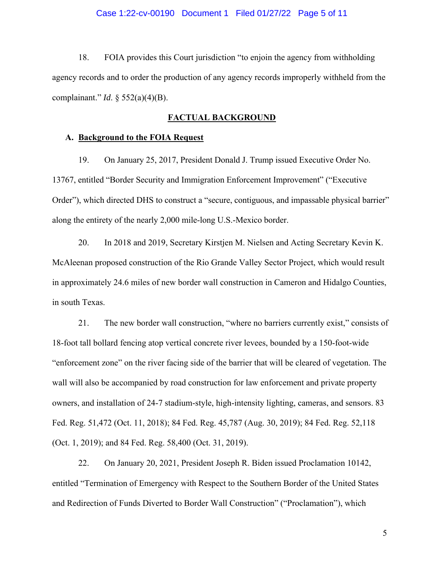## Case 1:22-cv-00190 Document 1 Filed 01/27/22 Page 5 of 11

18. FOIA provides this Court jurisdiction "to enjoin the agency from withholding agency records and to order the production of any agency records improperly withheld from the complainant." *Id*. § 552(a)(4)(B).

# **FACTUAL BACKGROUND**

#### **A. Background to the FOIA Request**

19. On January 25, 2017, President Donald J. Trump issued Executive Order No. 13767, entitled "Border Security and Immigration Enforcement Improvement" ("Executive Order"), which directed DHS to construct a "secure, contiguous, and impassable physical barrier" along the entirety of the nearly 2,000 mile-long U.S.-Mexico border.

20. In 2018 and 2019, Secretary Kirstjen M. Nielsen and Acting Secretary Kevin K. McAleenan proposed construction of the Rio Grande Valley Sector Project, which would result in approximately 24.6 miles of new border wall construction in Cameron and Hidalgo Counties, in south Texas.

21. The new border wall construction, "where no barriers currently exist," consists of 18-foot tall bollard fencing atop vertical concrete river levees, bounded by a 150-foot-wide "enforcement zone" on the river facing side of the barrier that will be cleared of vegetation. The wall will also be accompanied by road construction for law enforcement and private property owners, and installation of 24-7 stadium-style, high-intensity lighting, cameras, and sensors. 83 Fed. Reg. 51,472 (Oct. 11, 2018); 84 Fed. Reg. 45,787 (Aug. 30, 2019); 84 Fed. Reg. 52,118 (Oct. 1, 2019); and 84 Fed. Reg. 58,400 (Oct. 31, 2019).

22. On January 20, 2021, President Joseph R. Biden issued Proclamation 10142, entitled "Termination of Emergency with Respect to the Southern Border of the United States and Redirection of Funds Diverted to Border Wall Construction" ("Proclamation"), which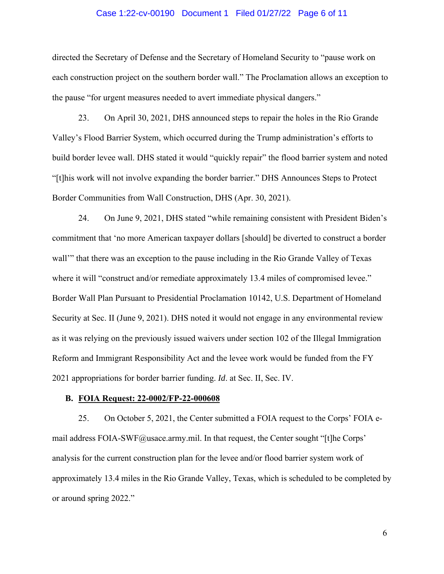### Case 1:22-cv-00190 Document 1 Filed 01/27/22 Page 6 of 11

directed the Secretary of Defense and the Secretary of Homeland Security to "pause work on each construction project on the southern border wall." The Proclamation allows an exception to the pause "for urgent measures needed to avert immediate physical dangers."

23. On April 30, 2021, DHS announced steps to repair the holes in the Rio Grande Valley's Flood Barrier System, which occurred during the Trump administration's efforts to build border levee wall. DHS stated it would "quickly repair" the flood barrier system and noted "[t]his work will not involve expanding the border barrier." DHS Announces Steps to Protect Border Communities from Wall Construction, DHS (Apr. 30, 2021).

24. On June 9, 2021, DHS stated "while remaining consistent with President Biden's commitment that 'no more American taxpayer dollars [should] be diverted to construct a border wall'" that there was an exception to the pause including in the Rio Grande Valley of Texas where it will "construct and/or remediate approximately 13.4 miles of compromised levee." Border Wall Plan Pursuant to Presidential Proclamation 10142, U.S. Department of Homeland Security at Sec. II (June 9, 2021). DHS noted it would not engage in any environmental review as it was relying on the previously issued waivers under section 102 of the Illegal Immigration Reform and Immigrant Responsibility Act and the levee work would be funded from the FY 2021 appropriations for border barrier funding. *Id*. at Sec. II, Sec. IV.

#### **B. FOIA Request: 22-0002/FP-22-000608**

25. On October 5, 2021, the Center submitted a FOIA request to the Corps' FOIA email address FOIA-SWF@usace.army.mil. In that request, the Center sought "[t]he Corps' analysis for the current construction plan for the levee and/or flood barrier system work of approximately 13.4 miles in the Rio Grande Valley, Texas, which is scheduled to be completed by or around spring 2022."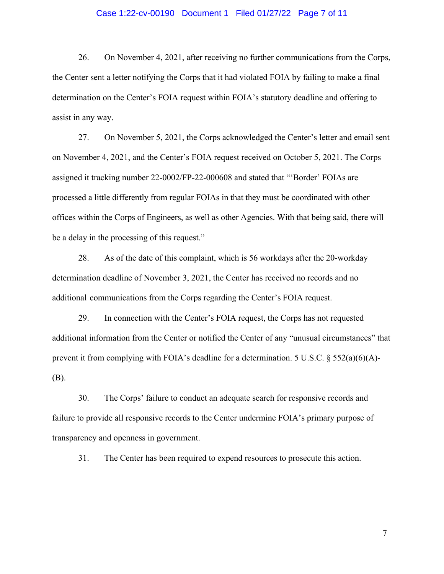## Case 1:22-cv-00190 Document 1 Filed 01/27/22 Page 7 of 11

26. On November 4, 2021, after receiving no further communications from the Corps, the Center sent a letter notifying the Corps that it had violated FOIA by failing to make a final determination on the Center's FOIA request within FOIA's statutory deadline and offering to assist in any way.

27. On November 5, 2021, the Corps acknowledged the Center's letter and email sent on November 4, 2021, and the Center's FOIA request received on October 5, 2021. The Corps assigned it tracking number 22-0002/FP-22-000608 and stated that "'Border' FOIAs are processed a little differently from regular FOIAs in that they must be coordinated with other offices within the Corps of Engineers, as well as other Agencies. With that being said, there will be a delay in the processing of this request."

28. As of the date of this complaint, which is 56 workdays after the 20-workday determination deadline of November 3, 2021, the Center has received no records and no additional communications from the Corps regarding the Center's FOIA request.

29. In connection with the Center's FOIA request, the Corps has not requested additional information from the Center or notified the Center of any "unusual circumstances" that prevent it from complying with FOIA's deadline for a determination. 5 U.S.C. § 552(a)(6)(A)- (B).

30. The Corps' failure to conduct an adequate search for responsive records and failure to provide all responsive records to the Center undermine FOIA's primary purpose of transparency and openness in government.

31. The Center has been required to expend resources to prosecute this action.

7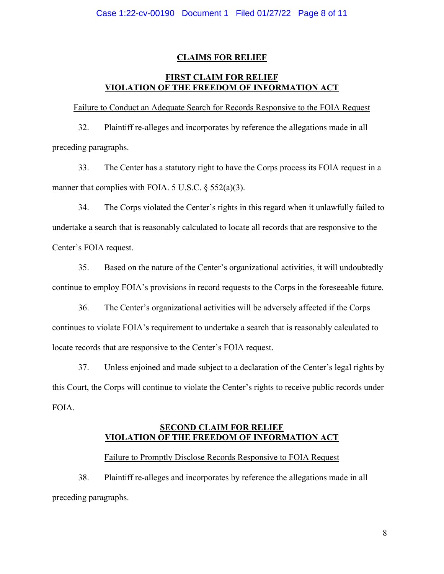# **CLAIMS FOR RELIEF**

# **FIRST CLAIM FOR RELIEF VIOLATION OF THE FREEDOM OF INFORMATION ACT**

Failure to Conduct an Adequate Search for Records Responsive to the FOIA Request

32. Plaintiff re-alleges and incorporates by reference the allegations made in all preceding paragraphs.

33. The Center has a statutory right to have the Corps process its FOIA request in a manner that complies with FOIA. 5 U.S.C.  $\S$  552(a)(3).

34. The Corps violated the Center's rights in this regard when it unlawfully failed to undertake a search that is reasonably calculated to locate all records that are responsive to the Center's FOIA request.

35. Based on the nature of the Center's organizational activities, it will undoubtedly continue to employ FOIA's provisions in record requests to the Corps in the foreseeable future.

36. The Center's organizational activities will be adversely affected if the Corps continues to violate FOIA's requirement to undertake a search that is reasonably calculated to locate records that are responsive to the Center's FOIA request.

37. Unless enjoined and made subject to a declaration of the Center's legal rights by this Court, the Corps will continue to violate the Center's rights to receive public records under FOIA.

# **SECOND CLAIM FOR RELIEF VIOLATION OF THE FREEDOM OF INFORMATION ACT**

# Failure to Promptly Disclose Records Responsive to FOIA Request

38. Plaintiff re-alleges and incorporates by reference the allegations made in all preceding paragraphs.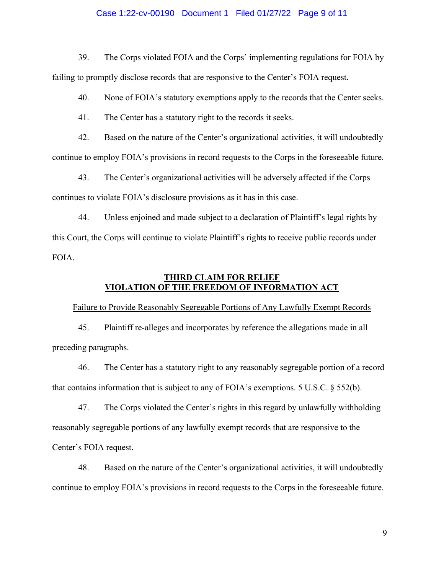## Case 1:22-cv-00190 Document 1 Filed 01/27/22 Page 9 of 11

39. The Corps violated FOIA and the Corps' implementing regulations for FOIA by failing to promptly disclose records that are responsive to the Center's FOIA request.

40. None of FOIA's statutory exemptions apply to the records that the Center seeks.

41. The Center has a statutory right to the records it seeks.

42. Based on the nature of the Center's organizational activities, it will undoubtedly continue to employ FOIA's provisions in record requests to the Corps in the foreseeable future.

43. The Center's organizational activities will be adversely affected if the Corps continues to violate FOIA's disclosure provisions as it has in this case.

44. Unless enjoined and made subject to a declaration of Plaintiff's legal rights by this Court, the Corps will continue to violate Plaintiff's rights to receive public records under FOIA.

# **THIRD CLAIM FOR RELIEF VIOLATION OF THE FREEDOM OF INFORMATION ACT**

Failure to Provide Reasonably Segregable Portions of Any Lawfully Exempt Records

45. Plaintiff re-alleges and incorporates by reference the allegations made in all preceding paragraphs.

46. The Center has a statutory right to any reasonably segregable portion of a record that contains information that is subject to any of FOIA's exemptions. 5 U.S.C. § 552(b).

47. The Corps violated the Center's rights in this regard by unlawfully withholding reasonably segregable portions of any lawfully exempt records that are responsive to the Center's FOIA request.

48. Based on the nature of the Center's organizational activities, it will undoubtedly continue to employ FOIA's provisions in record requests to the Corps in the foreseeable future.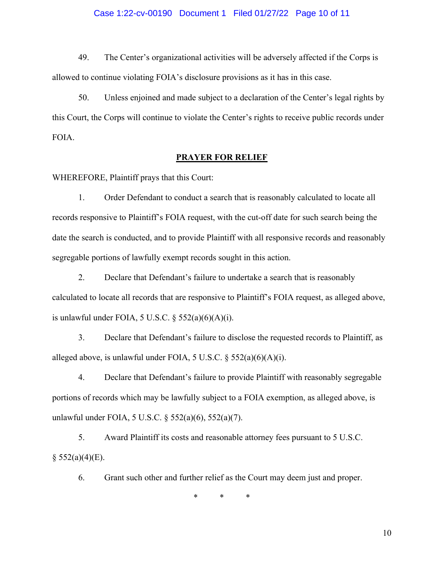## Case 1:22-cv-00190 Document 1 Filed 01/27/22 Page 10 of 11

49. The Center's organizational activities will be adversely affected if the Corps is allowed to continue violating FOIA's disclosure provisions as it has in this case.

50. Unless enjoined and made subject to a declaration of the Center's legal rights by this Court, the Corps will continue to violate the Center's rights to receive public records under FOIA.

# **PRAYER FOR RELIEF**

WHEREFORE, Plaintiff prays that this Court:

1. Order Defendant to conduct a search that is reasonably calculated to locate all records responsive to Plaintiff's FOIA request, with the cut-off date for such search being the date the search is conducted, and to provide Plaintiff with all responsive records and reasonably segregable portions of lawfully exempt records sought in this action.

2. Declare that Defendant's failure to undertake a search that is reasonably calculated to locate all records that are responsive to Plaintiff's FOIA request, as alleged above, is unlawful under FOIA, 5 U.S.C.  $\S$  552(a)(6)(A)(i).

3. Declare that Defendant's failure to disclose the requested records to Plaintiff, as alleged above, is unlawful under FOIA, 5 U.S.C.  $\S$  552(a)(6)(A)(i).

4. Declare that Defendant's failure to provide Plaintiff with reasonably segregable portions of records which may be lawfully subject to a FOIA exemption, as alleged above, is unlawful under FOIA, 5 U.S.C. § 552(a)(6), 552(a)(7).

5. Award Plaintiff its costs and reasonable attorney fees pursuant to 5 U.S.C.  $§$  552(a)(4)(E).

6. Grant such other and further relief as the Court may deem just and proper.

\* \* \*